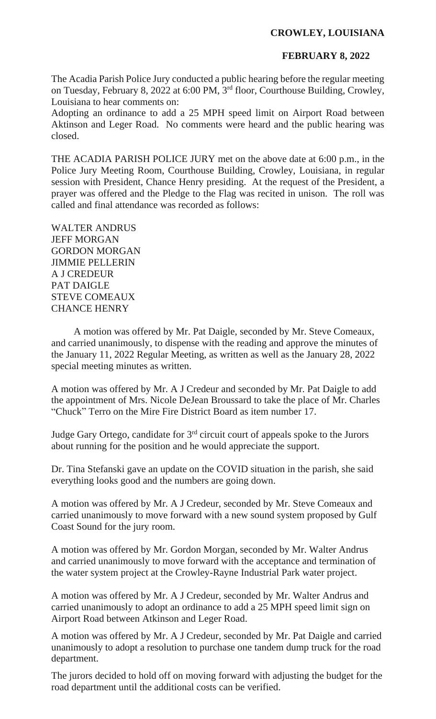## **CROWLEY, LOUISIANA**

## **FEBRUARY 8, 2022**

The Acadia Parish Police Jury conducted a public hearing before the regular meeting on Tuesday, February 8, 2022 at 6:00 PM, 3rd floor, Courthouse Building, Crowley, Louisiana to hear comments on:

Adopting an ordinance to add a 25 MPH speed limit on Airport Road between Aktinson and Leger Road. No comments were heard and the public hearing was closed.

THE ACADIA PARISH POLICE JURY met on the above date at 6:00 p.m., in the Police Jury Meeting Room, Courthouse Building, Crowley, Louisiana, in regular session with President, Chance Henry presiding. At the request of the President, a prayer was offered and the Pledge to the Flag was recited in unison. The roll was called and final attendance was recorded as follows:

WALTER ANDRUS JEFF MORGAN GORDON MORGAN JIMMIE PELLERIN A J CREDEUR PAT DAIGLE STEVE COMEAUX CHANCE HENRY

A motion was offered by Mr. Pat Daigle, seconded by Mr. Steve Comeaux, and carried unanimously, to dispense with the reading and approve the minutes of the January 11, 2022 Regular Meeting, as written as well as the January 28, 2022 special meeting minutes as written.

A motion was offered by Mr. A J Credeur and seconded by Mr. Pat Daigle to add the appointment of Mrs. Nicole DeJean Broussard to take the place of Mr. Charles "Chuck" Terro on the Mire Fire District Board as item number 17.

Judge Gary Ortego, candidate for  $3<sup>rd</sup>$  circuit court of appeals spoke to the Jurors about running for the position and he would appreciate the support.

Dr. Tina Stefanski gave an update on the COVID situation in the parish, she said everything looks good and the numbers are going down.

A motion was offered by Mr. A J Credeur, seconded by Mr. Steve Comeaux and carried unanimously to move forward with a new sound system proposed by Gulf Coast Sound for the jury room.

A motion was offered by Mr. Gordon Morgan, seconded by Mr. Walter Andrus and carried unanimously to move forward with the acceptance and termination of the water system project at the Crowley-Rayne Industrial Park water project.

A motion was offered by Mr. A J Credeur, seconded by Mr. Walter Andrus and carried unanimously to adopt an ordinance to add a 25 MPH speed limit sign on Airport Road between Atkinson and Leger Road.

A motion was offered by Mr. A J Credeur, seconded by Mr. Pat Daigle and carried unanimously to adopt a resolution to purchase one tandem dump truck for the road department.

The jurors decided to hold off on moving forward with adjusting the budget for the road department until the additional costs can be verified.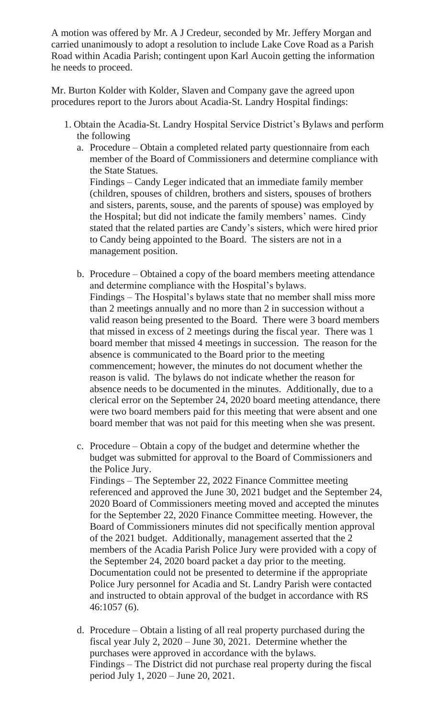A motion was offered by Mr. A J Credeur, seconded by Mr. Jeffery Morgan and carried unanimously to adopt a resolution to include Lake Cove Road as a Parish Road within Acadia Parish; contingent upon Karl Aucoin getting the information he needs to proceed.

Mr. Burton Kolder with Kolder, Slaven and Company gave the agreed upon procedures report to the Jurors about Acadia-St. Landry Hospital findings:

- 1. Obtain the Acadia-St. Landry Hospital Service District's Bylaws and perform the following
	- a. Procedure Obtain a completed related party questionnaire from each member of the Board of Commissioners and determine compliance with the State Statues. Findings – Candy Leger indicated that an immediate family member (children, spouses of children, brothers and sisters, spouses of brothers and sisters, parents, souse, and the parents of spouse) was employed by the Hospital; but did not indicate the family members' names. Cindy stated that the related parties are Candy's sisters, which were hired prior to Candy being appointed to the Board. The sisters are not in a management position.
	- b. Procedure Obtained a copy of the board members meeting attendance and determine compliance with the Hospital's bylaws. Findings – The Hospital's bylaws state that no member shall miss more than 2 meetings annually and no more than 2 in succession without a valid reason being presented to the Board. There were 3 board members that missed in excess of 2 meetings during the fiscal year. There was 1 board member that missed 4 meetings in succession. The reason for the absence is communicated to the Board prior to the meeting commencement; however, the minutes do not document whether the reason is valid. The bylaws do not indicate whether the reason for absence needs to be documented in the minutes. Additionally, due to a clerical error on the September 24, 2020 board meeting attendance, there were two board members paid for this meeting that were absent and one board member that was not paid for this meeting when she was present.
	- c. Procedure Obtain a copy of the budget and determine whether the budget was submitted for approval to the Board of Commissioners and the Police Jury.

Findings – The September 22, 2022 Finance Committee meeting referenced and approved the June 30, 2021 budget and the September 24, 2020 Board of Commissioners meeting moved and accepted the minutes for the September 22, 2020 Finance Committee meeting. However, the Board of Commissioners minutes did not specifically mention approval of the 2021 budget. Additionally, management asserted that the 2 members of the Acadia Parish Police Jury were provided with a copy of the September 24, 2020 board packet a day prior to the meeting. Documentation could not be presented to determine if the appropriate Police Jury personnel for Acadia and St. Landry Parish were contacted and instructed to obtain approval of the budget in accordance with RS 46:1057 (6).

d. Procedure – Obtain a listing of all real property purchased during the fiscal year July 2, 2020 – June 30, 2021. Determine whether the purchases were approved in accordance with the bylaws. Findings – The District did not purchase real property during the fiscal period July 1, 2020 – June 20, 2021.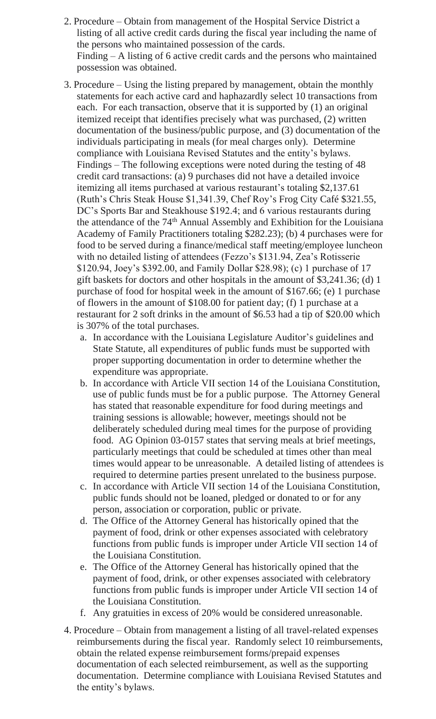- 2. Procedure Obtain from management of the Hospital Service District a listing of all active credit cards during the fiscal year including the name of the persons who maintained possession of the cards. Finding – A listing of 6 active credit cards and the persons who maintained possession was obtained.
- 3. Procedure Using the listing prepared by management, obtain the monthly statements for each active card and haphazardly select 10 transactions from each. For each transaction, observe that it is supported by (1) an original itemized receipt that identifies precisely what was purchased, (2) written documentation of the business/public purpose, and (3) documentation of the individuals participating in meals (for meal charges only). Determine compliance with Louisiana Revised Statutes and the entity's bylaws. Findings – The following exceptions were noted during the testing of 48 credit card transactions: (a) 9 purchases did not have a detailed invoice itemizing all items purchased at various restaurant's totaling \$2,137.61 (Ruth's Chris Steak House \$1,341.39, Chef Roy's Frog City Café \$321.55, DC's Sports Bar and Steakhouse \$192.4; and 6 various restaurants during the attendance of the 74<sup>th</sup> Annual Assembly and Exhibition for the Louisiana Academy of Family Practitioners totaling \$282.23); (b) 4 purchases were for food to be served during a finance/medical staff meeting/employee luncheon with no detailed listing of attendees (Fezzo's \$131.94, Zea's Rotisserie \$120.94, Joey's \$392.00, and Family Dollar \$28.98); (c) 1 purchase of 17 gift baskets for doctors and other hospitals in the amount of \$3,241.36; (d) 1 purchase of food for hospital week in the amount of \$167.66; (e) 1 purchase of flowers in the amount of \$108.00 for patient day; (f) 1 purchase at a restaurant for 2 soft drinks in the amount of \$6.53 had a tip of \$20.00 which is 307% of the total purchases.
	- a. In accordance with the Louisiana Legislature Auditor's guidelines and State Statute, all expenditures of public funds must be supported with proper supporting documentation in order to determine whether the expenditure was appropriate.
	- b. In accordance with Article VII section 14 of the Louisiana Constitution, use of public funds must be for a public purpose. The Attorney General has stated that reasonable expenditure for food during meetings and training sessions is allowable; however, meetings should not be deliberately scheduled during meal times for the purpose of providing food. AG Opinion 03-0157 states that serving meals at brief meetings, particularly meetings that could be scheduled at times other than meal times would appear to be unreasonable. A detailed listing of attendees is required to determine parties present unrelated to the business purpose.
	- c. In accordance with Article VII section 14 of the Louisiana Constitution, public funds should not be loaned, pledged or donated to or for any person, association or corporation, public or private.
	- d. The Office of the Attorney General has historically opined that the payment of food, drink or other expenses associated with celebratory functions from public funds is improper under Article VII section 14 of the Louisiana Constitution.
	- e. The Office of the Attorney General has historically opined that the payment of food, drink, or other expenses associated with celebratory functions from public funds is improper under Article VII section 14 of the Louisiana Constitution.
	- f. Any gratuities in excess of 20% would be considered unreasonable.
- 4. Procedure Obtain from management a listing of all travel-related expenses reimbursements during the fiscal year. Randomly select 10 reimbursements, obtain the related expense reimbursement forms/prepaid expenses documentation of each selected reimbursement, as well as the supporting documentation. Determine compliance with Louisiana Revised Statutes and the entity's bylaws.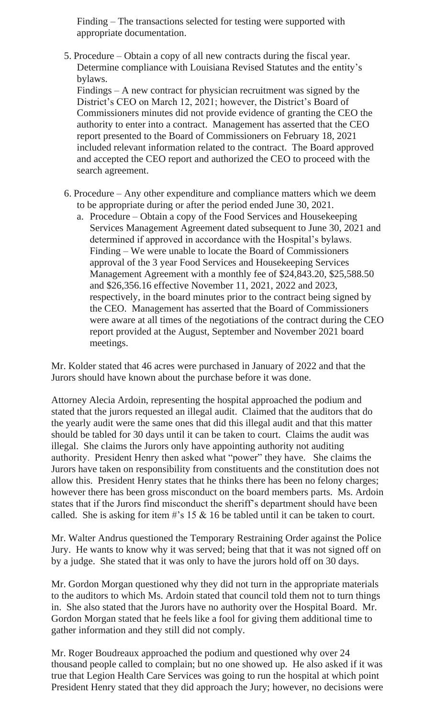Finding – The transactions selected for testing were supported with appropriate documentation.

5. Procedure – Obtain a copy of all new contracts during the fiscal year. Determine compliance with Louisiana Revised Statutes and the entity's bylaws.

Findings – A new contract for physician recruitment was signed by the District's CEO on March 12, 2021; however, the District's Board of Commissioners minutes did not provide evidence of granting the CEO the authority to enter into a contract. Management has asserted that the CEO report presented to the Board of Commissioners on February 18, 2021 included relevant information related to the contract. The Board approved and accepted the CEO report and authorized the CEO to proceed with the search agreement.

- 6. Procedure Any other expenditure and compliance matters which we deem to be appropriate during or after the period ended June 30, 2021.
	- a. Procedure Obtain a copy of the Food Services and Housekeeping Services Management Agreement dated subsequent to June 30, 2021 and determined if approved in accordance with the Hospital's bylaws. Finding – We were unable to locate the Board of Commissioners approval of the 3 year Food Services and Housekeeping Services Management Agreement with a monthly fee of \$24,843.20, \$25,588.50 and \$26,356.16 effective November 11, 2021, 2022 and 2023, respectively, in the board minutes prior to the contract being signed by the CEO. Management has asserted that the Board of Commissioners were aware at all times of the negotiations of the contract during the CEO report provided at the August, September and November 2021 board meetings.

Mr. Kolder stated that 46 acres were purchased in January of 2022 and that the Jurors should have known about the purchase before it was done.

Attorney Alecia Ardoin, representing the hospital approached the podium and stated that the jurors requested an illegal audit. Claimed that the auditors that do the yearly audit were the same ones that did this illegal audit and that this matter should be tabled for 30 days until it can be taken to court. Claims the audit was illegal. She claims the Jurors only have appointing authority not auditing authority. President Henry then asked what "power" they have. She claims the Jurors have taken on responsibility from constituents and the constitution does not allow this. President Henry states that he thinks there has been no felony charges; however there has been gross misconduct on the board members parts. Ms. Ardoin states that if the Jurors find misconduct the sheriff's department should have been called. She is asking for item  $\#$ 's 15 & 16 be tabled until it can be taken to court.

Mr. Walter Andrus questioned the Temporary Restraining Order against the Police Jury. He wants to know why it was served; being that that it was not signed off on by a judge. She stated that it was only to have the jurors hold off on 30 days.

Mr. Gordon Morgan questioned why they did not turn in the appropriate materials to the auditors to which Ms. Ardoin stated that council told them not to turn things in. She also stated that the Jurors have no authority over the Hospital Board. Mr. Gordon Morgan stated that he feels like a fool for giving them additional time to gather information and they still did not comply.

Mr. Roger Boudreaux approached the podium and questioned why over 24 thousand people called to complain; but no one showed up. He also asked if it was true that Legion Health Care Services was going to run the hospital at which point President Henry stated that they did approach the Jury; however, no decisions were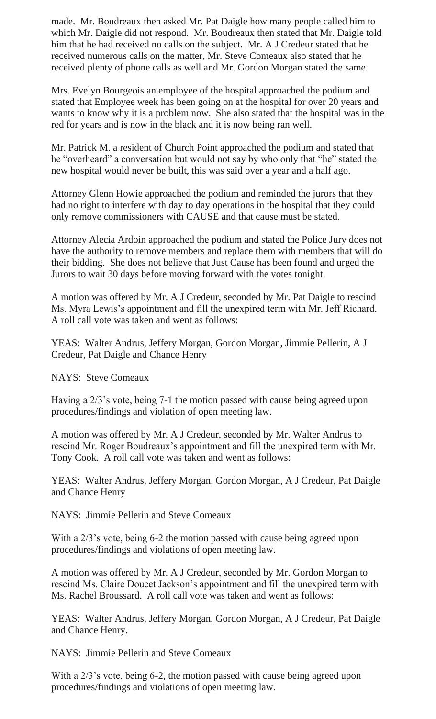made. Mr. Boudreaux then asked Mr. Pat Daigle how many people called him to which Mr. Daigle did not respond. Mr. Boudreaux then stated that Mr. Daigle told him that he had received no calls on the subject. Mr. A J Credeur stated that he received numerous calls on the matter, Mr. Steve Comeaux also stated that he received plenty of phone calls as well and Mr. Gordon Morgan stated the same.

Mrs. Evelyn Bourgeois an employee of the hospital approached the podium and stated that Employee week has been going on at the hospital for over 20 years and wants to know why it is a problem now. She also stated that the hospital was in the red for years and is now in the black and it is now being ran well.

Mr. Patrick M. a resident of Church Point approached the podium and stated that he "overheard" a conversation but would not say by who only that "he" stated the new hospital would never be built, this was said over a year and a half ago.

Attorney Glenn Howie approached the podium and reminded the jurors that they had no right to interfere with day to day operations in the hospital that they could only remove commissioners with CAUSE and that cause must be stated.

Attorney Alecia Ardoin approached the podium and stated the Police Jury does not have the authority to remove members and replace them with members that will do their bidding. She does not believe that Just Cause has been found and urged the Jurors to wait 30 days before moving forward with the votes tonight.

A motion was offered by Mr. A J Credeur, seconded by Mr. Pat Daigle to rescind Ms. Myra Lewis's appointment and fill the unexpired term with Mr. Jeff Richard. A roll call vote was taken and went as follows:

YEAS: Walter Andrus, Jeffery Morgan, Gordon Morgan, Jimmie Pellerin, A J Credeur, Pat Daigle and Chance Henry

NAYS: Steve Comeaux

Having a 2/3's vote, being 7-1 the motion passed with cause being agreed upon procedures/findings and violation of open meeting law.

A motion was offered by Mr. A J Credeur, seconded by Mr. Walter Andrus to rescind Mr. Roger Boudreaux's appointment and fill the unexpired term with Mr. Tony Cook. A roll call vote was taken and went as follows:

YEAS: Walter Andrus, Jeffery Morgan, Gordon Morgan, A J Credeur, Pat Daigle and Chance Henry

NAYS: Jimmie Pellerin and Steve Comeaux

With a 2/3's vote, being 6-2 the motion passed with cause being agreed upon procedures/findings and violations of open meeting law.

A motion was offered by Mr. A J Credeur, seconded by Mr. Gordon Morgan to rescind Ms. Claire Doucet Jackson's appointment and fill the unexpired term with Ms. Rachel Broussard. A roll call vote was taken and went as follows:

YEAS: Walter Andrus, Jeffery Morgan, Gordon Morgan, A J Credeur, Pat Daigle and Chance Henry.

NAYS: Jimmie Pellerin and Steve Comeaux

With a  $2/3$ 's vote, being 6-2, the motion passed with cause being agreed upon procedures/findings and violations of open meeting law.